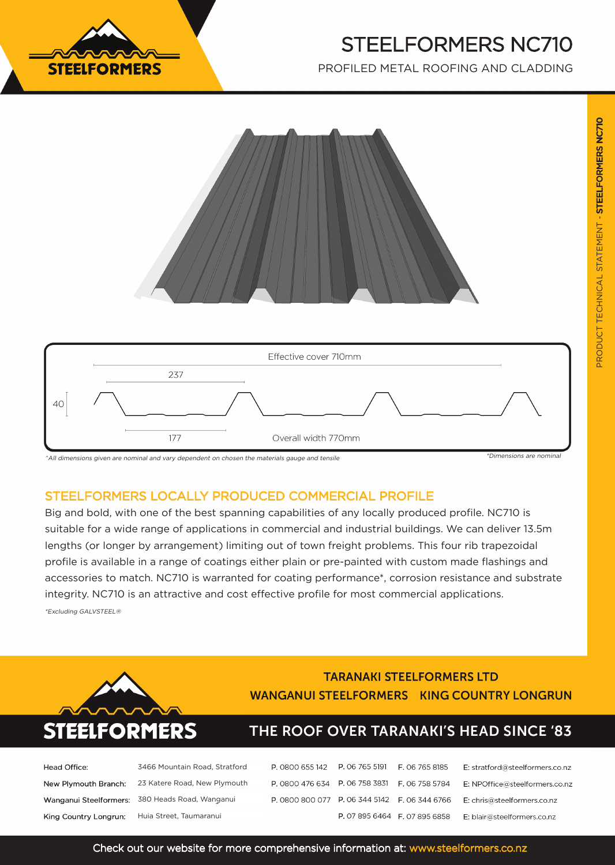

# STEELFORMERS NC710

PROFILED METAL ROOFING AND CLADDING





^All dimensions given are nominal and vary dependent on chosen the materials gauge and tensile

### STEELFORMERS LOCALLY PRODUCED COMMERCIAL PROFILE

Big and bold, with one of the best spanning capabilities of any locally produced profile. NC710 is suitable for a wide range of applications in commercial and industrial buildings. We can deliver 13.5m lengths (or longer by arrangement) limiting out of town freight problems. This four rib trapezoidal profile is available in a range of coatings either plain or pre-painted with custom made flashings and accessories to match. NC710 is warranted for coating performance\*, corrosion resistance and substrate integrity. NC710 is an attractive and cost effective profile for most commercial applications. \*Excluding GALVSTEEL®





### **TARANAKI STEELFORMERS LTD WANGANUI STEELFORMERS KING COUNTRY LONGRUN**

## THE ROOF OVER TARANAKI'S HEAD SINCE '83

| lead Office:          | 3466 Mountain Road, Stratford                            |
|-----------------------|----------------------------------------------------------|
|                       | <b>New Plymouth Branch:</b> 23 Katere Road, New Plymouth |
|                       | <b>Nanganui Steelformers: 380 Heads Road, Wanganui</b>   |
| King Country Longrun: | Huia Street, Taumaranui                                  |

| P. 0800 655 142 P. 06 765 5191                |                               | F. 06 765 8185 | E: stratford@steelformers.co.nz |
|-----------------------------------------------|-------------------------------|----------------|---------------------------------|
| P. 0800 476 634 P. 06 758 3831 F. 06 758 5784 |                               |                | E: NPOffice@steelformers.co.nz  |
| P. 0800 800 077 P. 06 344 5142 F. 06 344 6766 |                               |                | E: chris@steelformers.co.nz     |
|                                               | P. 07 895 6464 F. 07 895 6858 |                | E: blair@steelformers.co.nz     |